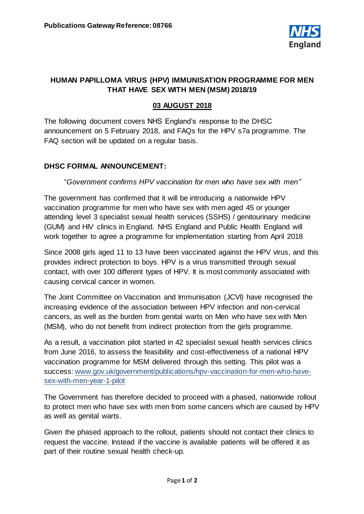

# **HUMAN PAPILLOMA VIRUS (HPV) IMMUNISATION PROGRAMME FOR MEN THAT HAVE SEX WITH MEN (MSM) 2018/19**

## **03 AUGUST 2018**

The following document covers NHS England's response to the DHSC announcement on 5 February 2018, and FAQs for the HPV s7a programme. The FAQ section will be updated on a regular basis.

### **DHSC FORMAL ANNOUNCEMENT:**

#### "*Government confirms HPV vaccination for men who have sex with men"*

The government has confirmed that it will be introducing a nationwide HPV vaccination programme for men who have sex with men aged 45 or younger attending level 3 specialist sexual health services (SSHS) / genitourinary medicine (GUM) and HIV clinics in England. NHS England and Public Health England will work together to agree a programme for implementation starting from April 2018

Since 2008 girls aged 11 to 13 have been vaccinated against the HPV virus, and this provides indirect protection to boys. HPV is a virus transmitted through sexual contact, with over 100 different types of HPV. It is most commonly associated with causing cervical cancer in women.

The Joint Committee on Vaccination and Immunisation (JCVI) have recognised the increasing evidence of the association between HPV infection and non-cervical cancers, as well as the burden from genital warts on Men who have sex with Men (MSM), who do not benefit from indirect protection from the girls programme.

As a result, a vaccination pilot started in 42 specialist sexual health services clinics from June 2016, to assess the feasibility and cost-effectiveness of a national HPV vaccination programme for MSM delivered through this setting. This pilot was a success[: www.gov.uk/government/publications/hpv-vaccination-for-men-who-have](http://www.gov.uk/government/publications/hpv-vaccination-for-men-who-have-sex-with-men-year-1-pilot)[sex-with-men-year-1-pilot](http://www.gov.uk/government/publications/hpv-vaccination-for-men-who-have-sex-with-men-year-1-pilot)

The Government has therefore decided to proceed with a phased, nationwide rollout to protect men who have sex with men from some cancers which are caused by HPV as well as genital warts.

Given the phased approach to the rollout, patients should not contact their clinics to request the vaccine. Instead if the vaccine is available patients will be offered it as part of their routine sexual health check-up.